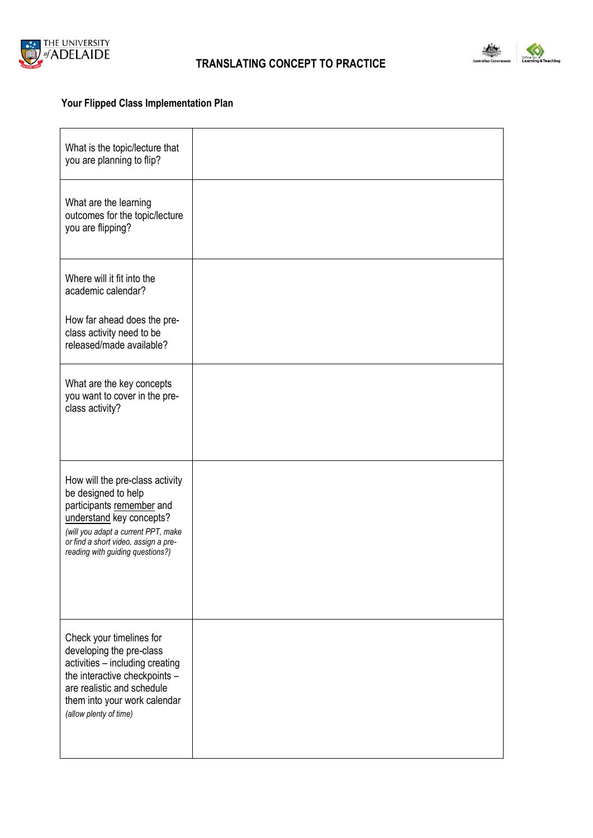



## **Your Flipped Class Implementation Plan**

| What is the topic/lecture that<br>you are planning to flip?                                                                                                                                                                        |  |
|------------------------------------------------------------------------------------------------------------------------------------------------------------------------------------------------------------------------------------|--|
| What are the learning<br>outcomes for the topic/lecture<br>you are flipping?                                                                                                                                                       |  |
| Where will it fit into the<br>academic calendar?                                                                                                                                                                                   |  |
| How far ahead does the pre-<br>class activity need to be<br>released/made available?                                                                                                                                               |  |
| What are the key concepts<br>you want to cover in the pre-<br>class activity?                                                                                                                                                      |  |
| How will the pre-class activity<br>be designed to help<br>participants remember and<br>understand key concepts?<br>(will you adapt a current PPT, make<br>or find a short video, assign a pre-<br>reading with guiding questions?) |  |
| Check your timelines for<br>developing the pre-class<br>activities - including creating<br>the interactive checkpoints -<br>are realistic and schedule<br>them into your work calendar<br>(allow plenty of time)                   |  |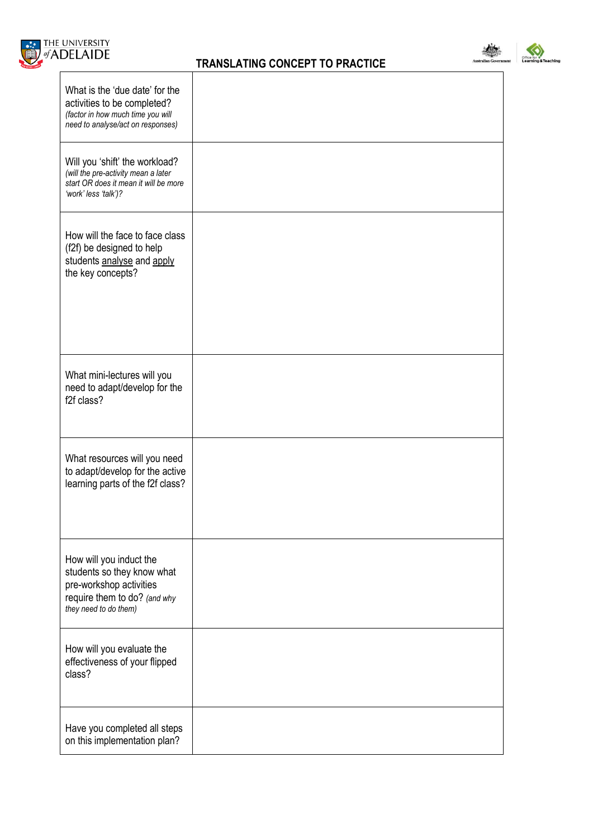



ing

| What is the 'due date' for the<br>activities to be completed?<br>(factor in how much time you will<br>need to analyse/act on responses)   |  |
|-------------------------------------------------------------------------------------------------------------------------------------------|--|
| Will you 'shift' the workload?<br>(will the pre-activity mean a later<br>start OR does it mean it will be more<br>'work' less 'talk')?    |  |
| How will the face to face class<br>(f2f) be designed to help<br>students analyse and apply<br>the key concepts?                           |  |
| What mini-lectures will you<br>need to adapt/develop for the<br>f2f class?                                                                |  |
| What resources will you need<br>to adapt/develop for the active<br>learning parts of the f2f class?                                       |  |
| How will you induct the<br>students so they know what<br>pre-workshop activities<br>require them to do? (and why<br>they need to do them) |  |
| How will you evaluate the<br>effectiveness of your flipped<br>class?                                                                      |  |
| Have you completed all steps<br>on this implementation plan?                                                                              |  |